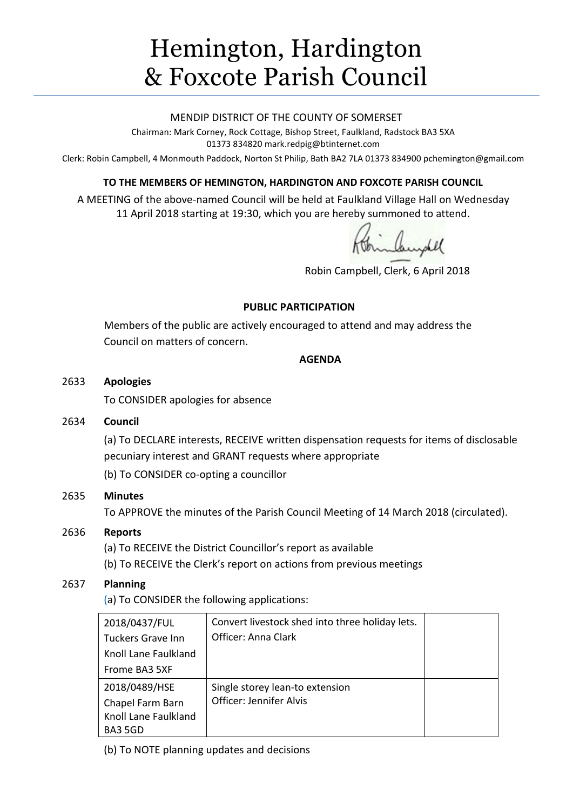# Hemington, Hardington & Foxcote Parish Council

#### MENDIP DISTRICT OF THE COUNTY OF SOMERSET

Chairman: Mark Corney, Rock Cottage, Bishop Street, Faulkland, Radstock BA3 5XA 01373 834820 mark.redpig@btinternet.com

Clerk: Robin Campbell, 4 Monmouth Paddock, Norton St Philip, Bath BA2 7LA 01373 834900 [pchemington@gmail.com](mailto:pchemington@gmail.com)

#### **TO THE MEMBERS OF HEMINGTON, HARDINGTON AND FOXCOTE PARISH COUNCIL**

A MEETING of the above-named Council will be held at Faulkland Village Hall on Wednesday 11 April 2018 starting at 19:30, which you are hereby summoned to attend.

Robin Campbell, Clerk, 6 April 2018

#### **PUBLIC PARTICIPATION**

Members of the public are actively encouraged to attend and may address the Council on matters of concern.

#### **AGENDA**

#### 2633 **Apologies**

To CONSIDER apologies for absence

#### 2634 **Council**

(a) To DECLARE interests, RECEIVE written dispensation requests for items of disclosable pecuniary interest and GRANT requests where appropriate

(b) To CONSIDER co-opting a councillor

# 2635 **Minutes**

To APPROVE the minutes of the Parish Council Meeting of 14 March 2018 (circulated).

# 2636 **Reports**

(a) To RECEIVE the District Councillor's report as available

(b) To RECEIVE the Clerk's report on actions from previous meetings

## 2637 **Planning**

(a) To CONSIDER the following applications:

| 2018/0437/FUL            | Convert livestock shed into three holiday lets. |  |
|--------------------------|-------------------------------------------------|--|
| <b>Tuckers Grave Inn</b> | Officer: Anna Clark                             |  |
| Knoll Lane Faulkland     |                                                 |  |
| Frome BA3 5XF            |                                                 |  |
| 2018/0489/HSE            | Single storey lean-to extension                 |  |
| Chapel Farm Barn         | Officer: Jennifer Alvis                         |  |
| Knoll Lane Faulkland     |                                                 |  |
| BA3 5GD                  |                                                 |  |

(b) To NOTE planning updates and decisions